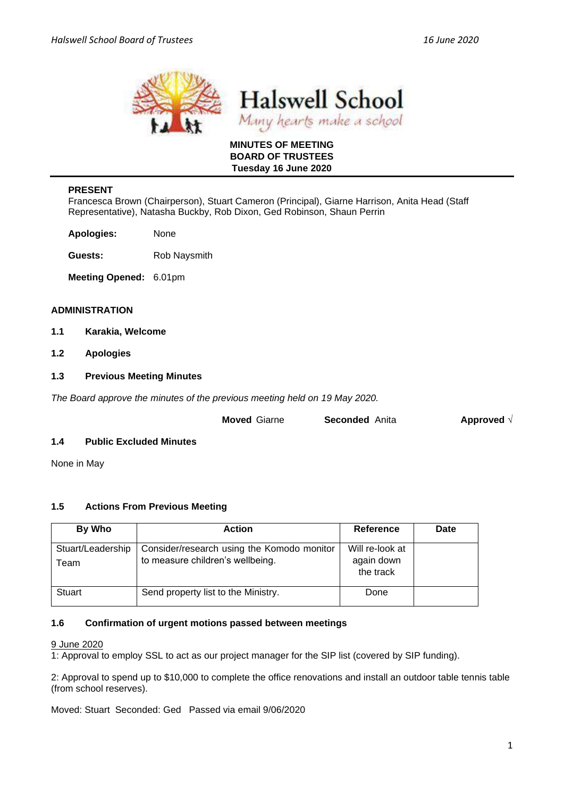

**Halswell School** Many hearts make a school

## **MINUTES OF MEETING BOARD OF TRUSTEES Tuesday 16 June 2020**

## **PRESENT**

Francesca Brown (Chairperson), Stuart Cameron (Principal), Giarne Harrison, Anita Head (Staff Representative), Natasha Buckby, Rob Dixon, Ged Robinson, Shaun Perrin

**Apologies:** None

**Guests:** Rob Naysmith

**Meeting Opened:** 6.01pm

### **ADMINISTRATION**

- **1.1 Karakia, Welcome**
- **1.2 Apologies**

### **1.3 Previous Meeting Minutes**

*The Board approve the minutes of the previous meeting held on 19 May 2020.* 

| <b>Moved Giarne</b> | <b>Seconded</b> Anita | Approved $\sqrt{ }$ |
|---------------------|-----------------------|---------------------|
|                     |                       |                     |

## **1.4 Public Excluded Minutes**

None in May

## **1.5 Actions From Previous Meeting**

| By Who                    | <b>Action</b>                                                                  | Reference                                  | Date |
|---------------------------|--------------------------------------------------------------------------------|--------------------------------------------|------|
| Stuart/Leadership<br>Team | Consider/research using the Komodo monitor<br>to measure children's wellbeing. | Will re-look at<br>again down<br>the track |      |
| <b>Stuart</b>             | Send property list to the Ministry.                                            | Done                                       |      |

#### **1.6 Confirmation of urgent motions passed between meetings**

#### 9 June 2020

1: Approval to employ SSL to act as our project manager for the SIP list (covered by SIP funding).

2: Approval to spend up to \$10,000 to complete the office renovations and install an outdoor table tennis table (from school reserves).

Moved: Stuart Seconded: Ged Passed via email 9/06/2020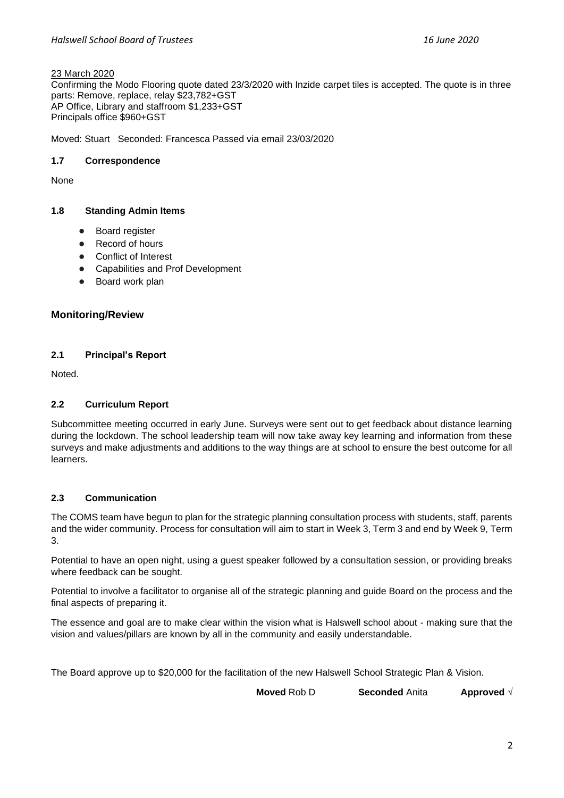### 23 March 2020

Confirming the Modo Flooring quote dated 23/3/2020 with Inzide carpet tiles is accepted. The quote is in three parts: Remove, replace, relay \$23,782+GST AP Office, Library and staffroom \$1,233+GST Principals office \$960+GST

Moved: Stuart Seconded: Francesca Passed via email 23/03/2020

# **1.7 Correspondence**

None

# **1.8 Standing Admin Items**

- **Boar[d](https://drive.google.com/open?id=1LgYeP3fbHNJrrdwtKhmni7bUn5KZf6AdawXvp-8GM5I) register**
- Record o[f](https://docs.google.com/spreadsheets/d/1ooqHmfuVcjAxJj74l2cyNrLx6E1GWjN2CMAD-VWrSTk/edit#gid=1585903216) hours
- Con[f](https://drive.google.com/open?id=1LpqgUK6iwhrXOSzvrxmLTcgpA-wsuZg7DU-aIw9nGAw)lict of Interest
- Capabilities and Prof Development
- Board work plan

# **Monitoring/Review**

# **2.1 Principal's Report**

Noted.

# **2.2 Curriculum Report**

Subcommittee meeting occurred in early June. Surveys were sent out to get feedback about distance learning during the lockdown. The school leadership team will now take away key learning and information from these surveys and make adjustments and additions to the way things are at school to ensure the best outcome for all learners.

## **2.3 Communication**

The COMS team have begun to plan for the strategic planning consultation process with students, staff, parents and the wider community. Process for consultation will aim to start in Week 3, Term 3 and end by Week 9, Term 3.

Potential to have an open night, using a guest speaker followed by a consultation session, or providing breaks where feedback can be sought.

Potential to involve a facilitator to organise all of the strategic planning and guide Board on the process and the final aspects of preparing it.

The essence and goal are to make clear within the vision what is Halswell school about - making sure that the vision and values/pillars are known by all in the community and easily understandable.

The Board approve up to \$20,000 for the facilitation of the new Halswell School Strategic Plan & Vision.

**Moved** Rob D **Seconded** Anita **Approved** √